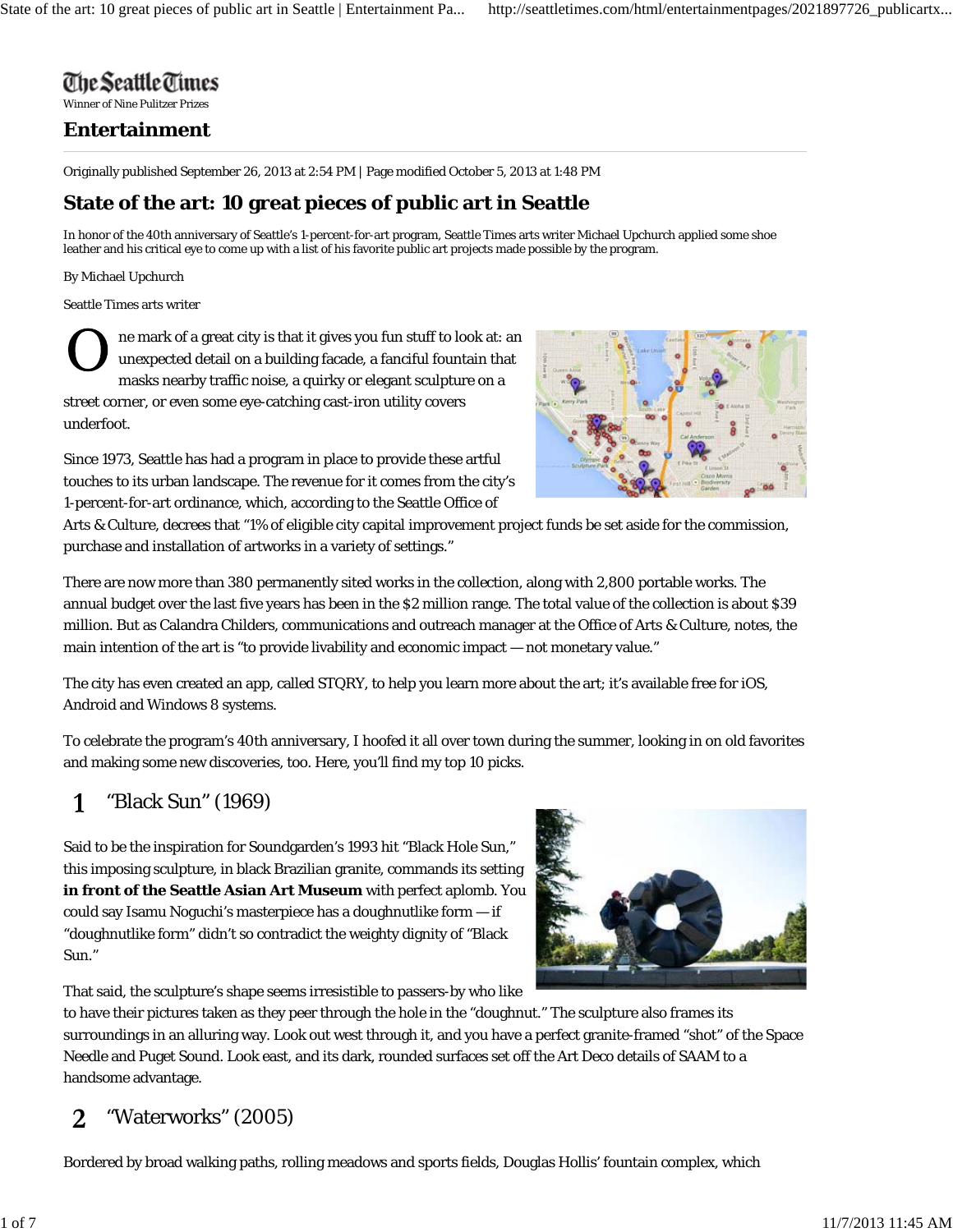# The Seattle Times

Winner of Nine Pulitzer Prizes

### **Entertainment**

Originally published September 26, 2013 at 2:54 PM | Page modified October 5, 2013 at 1:48 PM

## **State of the art: 10 great pieces of public art in Seattle**

In honor of the 40th anniversary of Seattle's 1-percent-for-art program, Seattle Times arts writer Michael Upchurch applied some shoe leather and his critical eye to come up with a list of his favorite public art projects made possible by the program.

By Michael Upchurch

Seattle Times arts writer

ne mark of a great city is that it gives you fun stuff to look at: an unexpected detail on a building facade, a fanciful fountain that masks nearby traffic noise, a quirky or elegant sculpture on a street corner, or even some eye-catching cast-iron utility covers underfoot.



Since 1973, Seattle has had a program in place to provide these artful touches to its urban landscape. The revenue for it comes from the city's 1-percent-for-art ordinance, which, according to the Seattle Office of

Arts & Culture, decrees that "1% of eligible city capital improvement project funds be set aside for the commission, purchase and installation of artworks in a variety of settings."

There are now more than 380 permanently sited works in the collection, along with 2,800 portable works. The annual budget over the last five years has been in the \$2 million range. The total value of the collection is about \$39 million. But as Calandra Childers, communications and outreach manager at the Office of Arts & Culture, notes, the main intention of the art is "to provide livability and economic impact — not monetary value."

The city has even created an app, called STQRY, to help you learn more about the art; it's available free for iOS, Android and Windows 8 systems.

To celebrate the program's 40th anniversary, I hoofed it all over town during the summer, looking in on old favorites and making some new discoveries, too. Here, you'll find my top 10 picks.

#### "Black Sun" (1969) 1

Said to be the inspiration for Soundgarden's 1993 hit "Black Hole Sun," this imposing sculpture, in black Brazilian granite, commands its setting **in front of the Seattle Asian Art Museum** with perfect aplomb. You could say Isamu Noguchi's masterpiece has a doughnutlike form — if "doughnutlike form" didn't so contradict the weighty dignity of "Black Sun."



That said, the sculpture's shape seems irresistible to passers-by who like

to have their pictures taken as they peer through the hole in the "doughnut." The sculpture also frames its surroundings in an alluring way. Look out west through it, and you have a perfect granite-framed "shot" of the Space Needle and Puget Sound. Look east, and its dark, rounded surfaces set off the Art Deco details of SAAM to a handsome advantage.

#### "Waterworks" (2005) 2

Bordered by broad walking paths, rolling meadows and sports fields, Douglas Hollis' fountain complex, which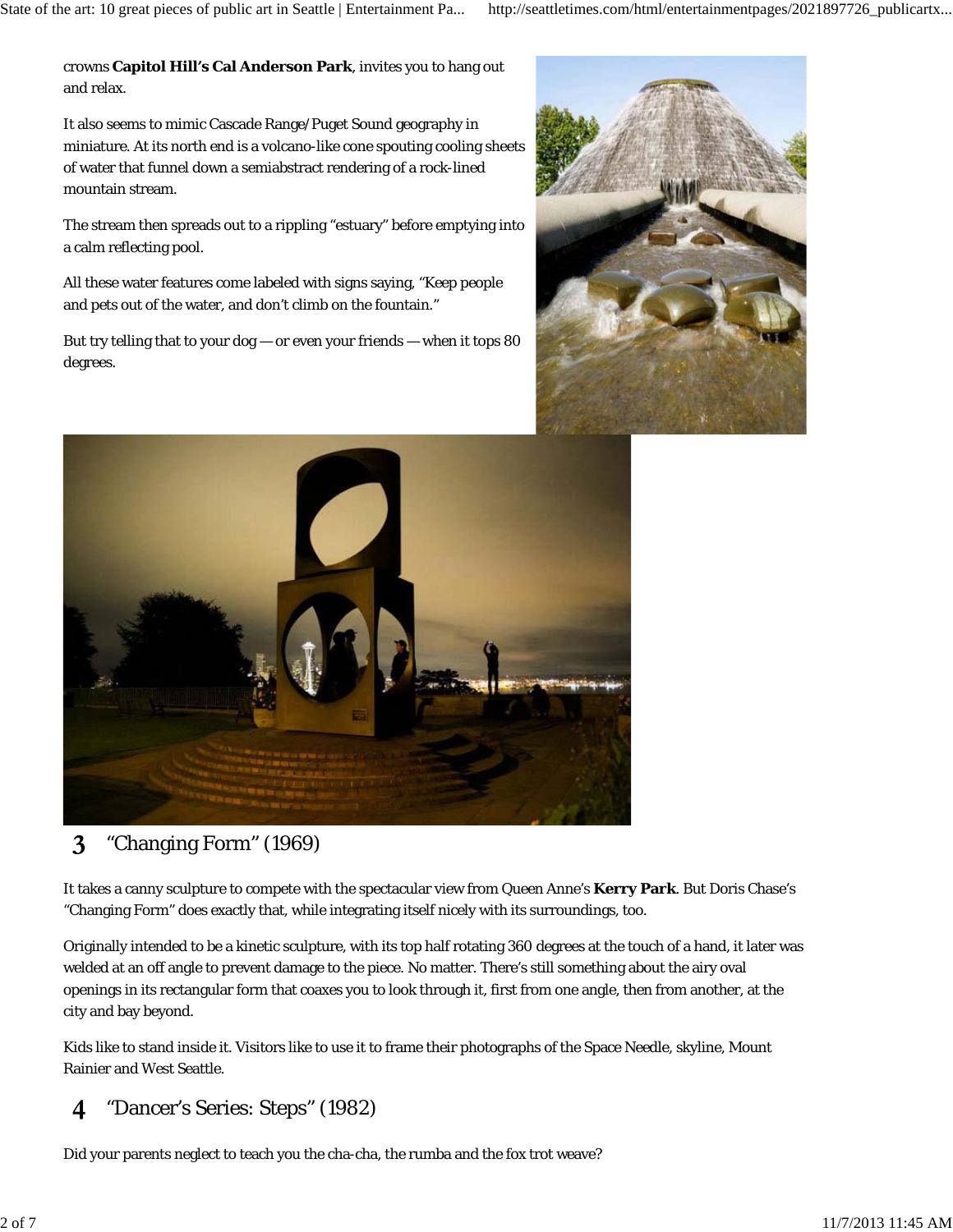crowns **Capitol Hill's Cal Anderson Park**, invites you to hang out and relax.

It also seems to mimic Cascade Range/Puget Sound geography in miniature. At its north end is a volcano-like cone spouting cooling sheets of water that funnel down a semiabstract rendering of a rock-lined mountain stream.

The stream then spreads out to a rippling "estuary" before emptying into a calm reflecting pool.

All these water features come labeled with signs saying, "Keep people and pets out of the water, and don't climb on the fountain."

But try telling that to your  $dog - or$  even your friends  $-$  when it tops 80 degrees.





#### 3 "Changing Form" (1969)

It takes a canny sculpture to compete with the spectacular view from Queen Anne's **Kerry Park**. But Doris Chase's "Changing Form" does exactly that, while integrating itself nicely with its surroundings, too.

Originally intended to be a kinetic sculpture, with its top half rotating 360 degrees at the touch of a hand, it later was welded at an off angle to prevent damage to the piece. No matter. There's still something about the airy oval openings in its rectangular form that coaxes you to look through it, first from one angle, then from another, at the city and bay beyond.

Kids like to stand inside it. Visitors like to use it to frame their photographs of the Space Needle, skyline, Mount Rainier and West Seattle.

#### "Dancer's Series: Steps" (1982)  $\boldsymbol{4}$

Did your parents neglect to teach you the cha-cha, the rumba and the fox trot weave?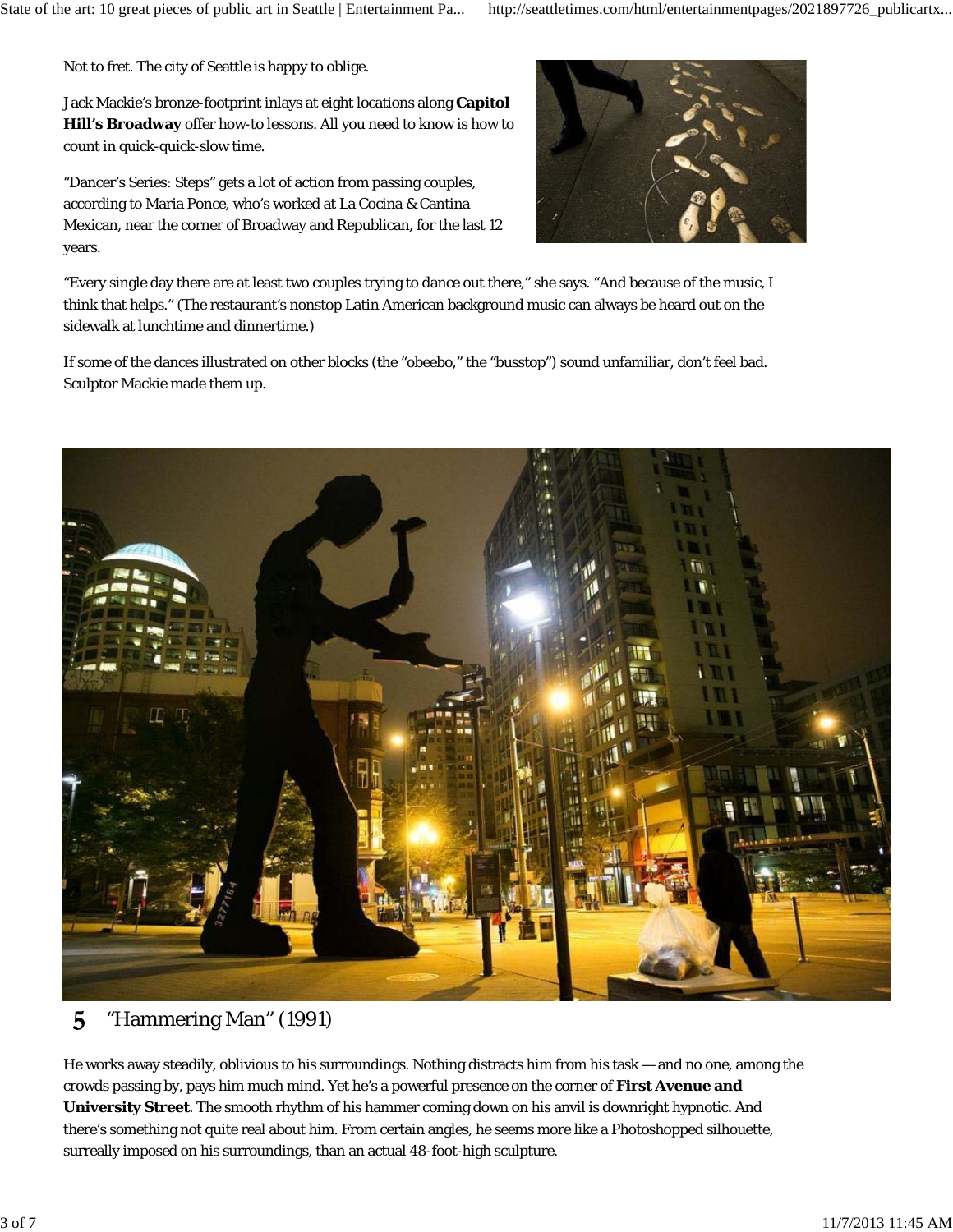Not to fret. The city of Seattle is happy to oblige.

Jack Mackie's bronze-footprint inlays at eight locations along **Capitol Hill's Broadway** offer how-to lessons. All you need to know is how to count in quick-quick-slow time.

"Dancer's Series: Steps" gets a lot of action from passing couples, according to Maria Ponce, who's worked at La Cocina & Cantina Mexican, near the corner of Broadway and Republican, for the last 12 years.



"Every single day there are at least two couples trying to dance out there," she says. "And because of the music, I think that helps." (The restaurant's nonstop Latin American background music can always be heard out on the sidewalk at lunchtime and dinnertime.)

If some of the dances illustrated on other blocks (the "obeebo," the "busstop") sound unfamiliar, don't feel bad. Sculptor Mackie made them up.



#### 5 "Hammering Man" (1991)

He works away steadily, oblivious to his surroundings. Nothing distracts him from his task — and no one, among the crowds passing by, pays him much mind. Yet he's a powerful presence on the corner of **First Avenue and University Street**. The smooth rhythm of his hammer coming down on his anvil is downright hypnotic. And there's something not quite real about him. From certain angles, he seems more like a Photoshopped silhouette, surreally imposed on his surroundings, than an actual 48-foot-high sculpture.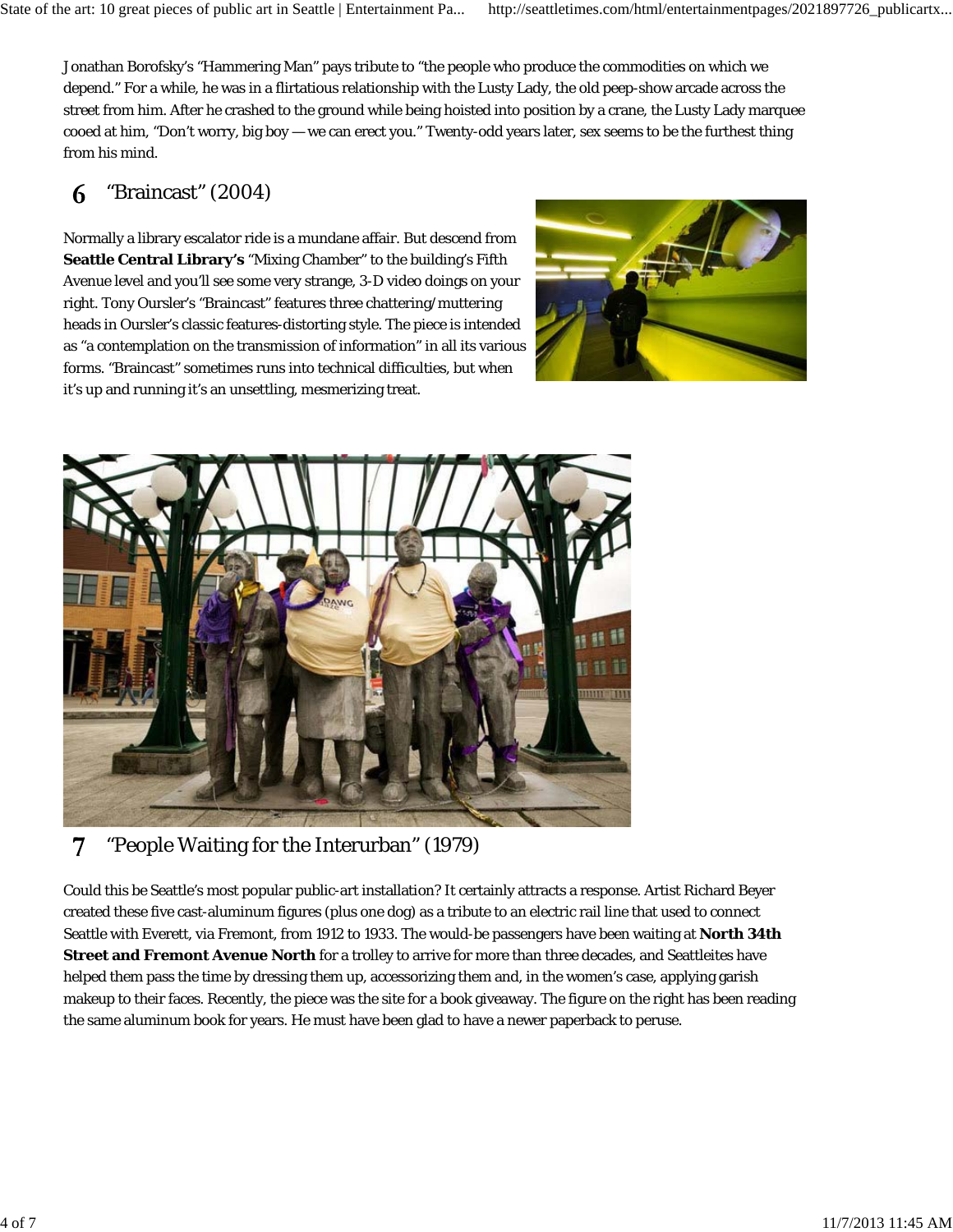Jonathan Borofsky's "Hammering Man" pays tribute to "the people who produce the commodities on which we depend." For a while, he was in a flirtatious relationship with the Lusty Lady, the old peep-show arcade across the street from him. After he crashed to the ground while being hoisted into position by a crane, the Lusty Lady marquee cooed at him, "Don't worry, big boy — we can erect you." Twenty-odd years later, sex seems to be the furthest thing from his mind.

#### "Braincast" (2004) 6

Normally a library escalator ride is a mundane affair. But descend from **Seattle Central Library's** "Mixing Chamber" to the building's Fifth Avenue level and you'll see some very strange, 3-D video doings on your right. Tony Oursler's "Braincast" features three chattering/muttering heads in Oursler's classic features-distorting style. The piece is intended as "a contemplation on the transmission of information" in all its various forms. "Braincast" sometimes runs into technical difficulties, but when it's up and running it's an unsettling, mesmerizing treat.





#### "People Waiting for the Interurban" (1979) 7

Could this be Seattle's most popular public-art installation? It certainly attracts a response. Artist Richard Beyer created these five cast-aluminum figures (plus one dog) as a tribute to an electric rail line that used to connect Seattle with Everett, via Fremont, from 1912 to 1933. The would-be passengers have been waiting at **North 34th Street and Fremont Avenue North** for a trolley to arrive for more than three decades, and Seattleites have helped them pass the time by dressing them up, accessorizing them and, in the women's case, applying garish makeup to their faces. Recently, the piece was the site for a book giveaway. The figure on the right has been reading the same aluminum book for years. He must have been glad to have a newer paperback to peruse.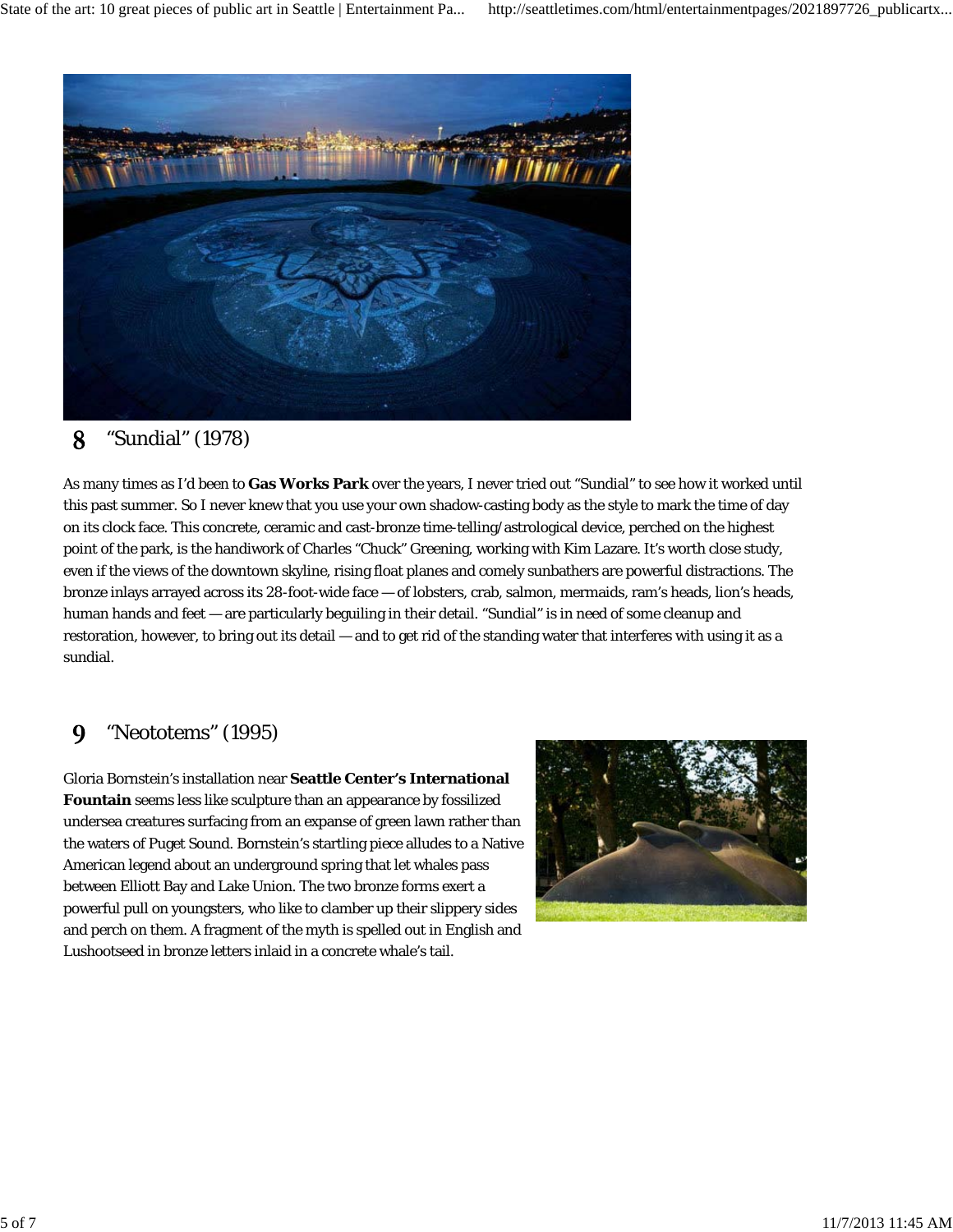

#### 8 "Sundial" (1978)

As many times as I'd been to **Gas Works Park** over the years, I never tried out "Sundial" to see how it worked until this past summer. So I never knew that you use your own shadow-casting body as the style to mark the time of day on its clock face. This concrete, ceramic and cast-bronze time-telling/astrological device, perched on the highest point of the park, is the handiwork of Charles "Chuck" Greening, working with Kim Lazare. It's worth close study, even if the views of the downtown skyline, rising float planes and comely sunbathers are powerful distractions. The bronze inlays arrayed across its 28-foot-wide face — of lobsters, crab, salmon, mermaids, ram's heads, lion's heads, human hands and feet — are particularly beguiling in their detail. "Sundial" is in need of some cleanup and restoration, however, to bring out its detail — and to get rid of the standing water that interferes with using it as a sundial.

#### "Neototems" (1995) 9

Gloria Bornstein's installation near **Seattle Center's International Fountain** seems less like sculpture than an appearance by fossilized undersea creatures surfacing from an expanse of green lawn rather than the waters of Puget Sound. Bornstein's startling piece alludes to a Native American legend about an underground spring that let whales pass between Elliott Bay and Lake Union. The two bronze forms exert a powerful pull on youngsters, who like to clamber up their slippery sides and perch on them. A fragment of the myth is spelled out in English and Lushootseed in bronze letters inlaid in a concrete whale's tail.

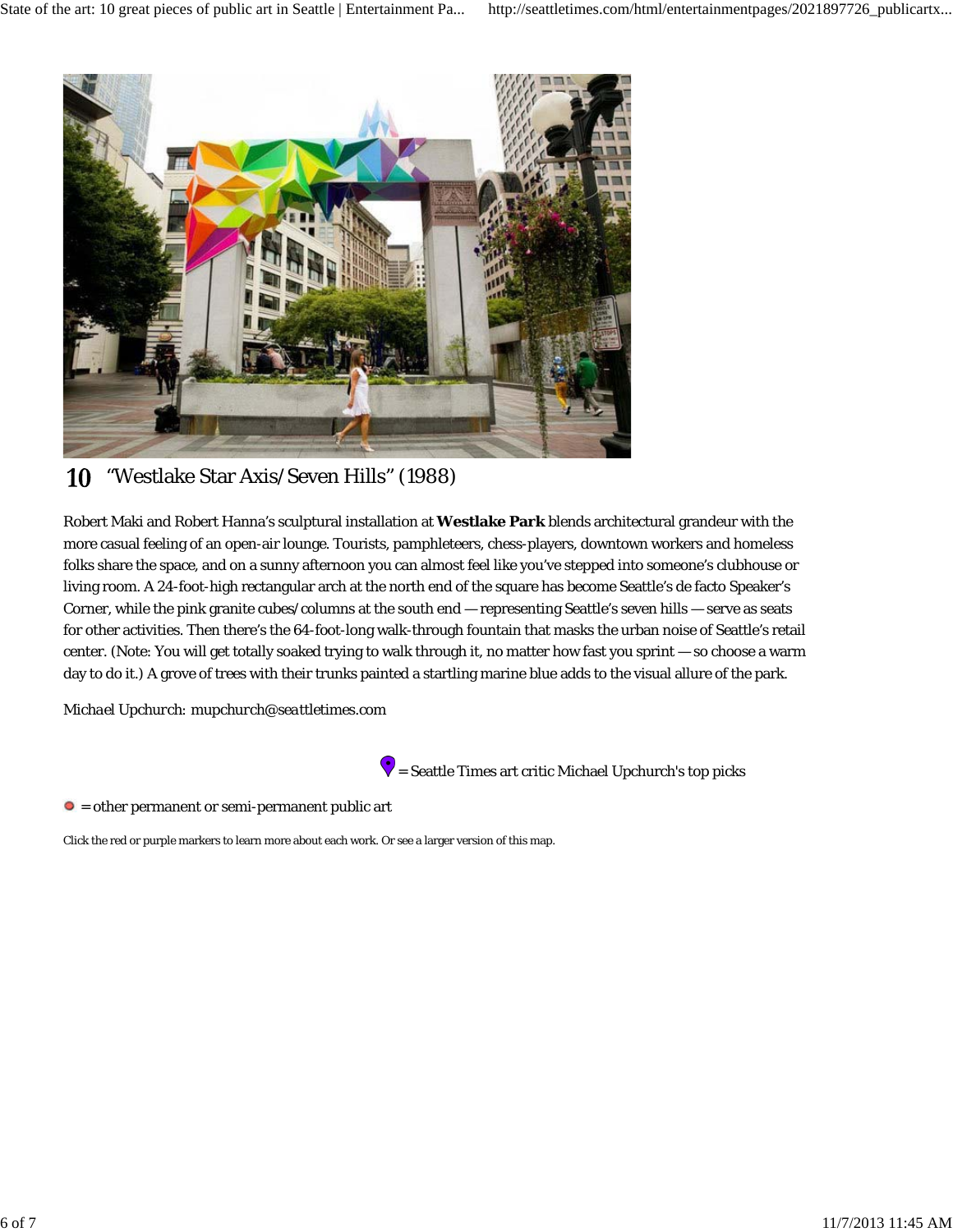

#### "Westlake Star Axis/Seven Hills" (1988) 10

Robert Maki and Robert Hanna's sculptural installation at **Westlake Park** blends architectural grandeur with the more casual feeling of an open-air lounge. Tourists, pamphleteers, chess-players, downtown workers and homeless folks share the space, and on a sunny afternoon you can almost feel like you've stepped into someone's clubhouse or living room. A 24-foot-high rectangular arch at the north end of the square has become Seattle's de facto Speaker's Corner, while the pink granite cubes/columns at the south end — representing Seattle's seven hills — serve as seats for other activities. Then there's the 64-foot-long walk-through fountain that masks the urban noise of Seattle's retail center. (Note: You will get totally soaked trying to walk through it, no matter how fast you sprint — so choose a warm day to do it.) A grove of trees with their trunks painted a startling marine blue adds to the visual allure of the park.

*Michael Upchurch: mupchurch@seattletimes.com*



 $\bullet$  = Seattle Times art critic Michael Upchurch's top picks

 $\bullet$  = other permanent or semi-permanent public art

Click the red or purple markers to learn more about each work. Or see a larger version of this map.